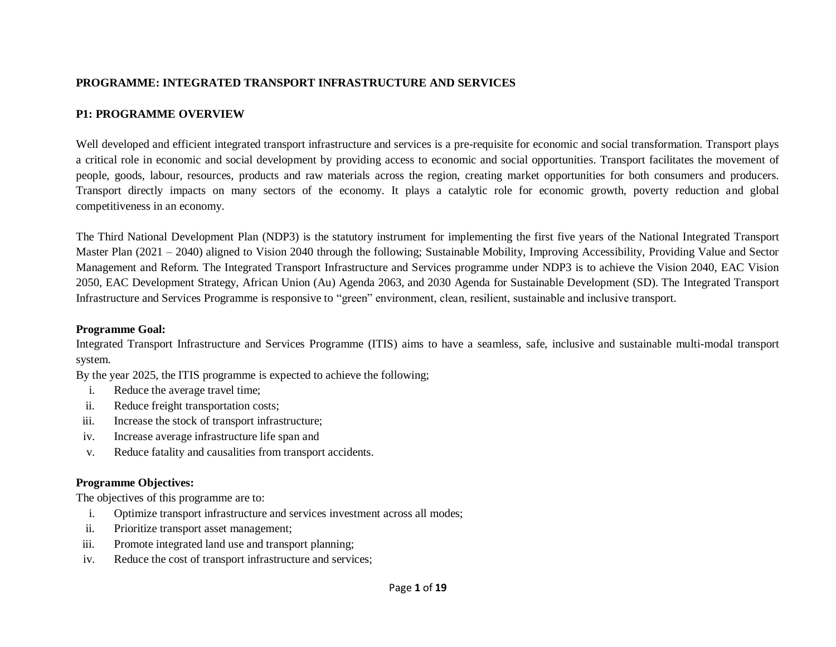### **PROGRAMME: INTEGRATED TRANSPORT INFRASTRUCTURE AND SERVICES**

# **P1: PROGRAMME OVERVIEW**

Well developed and efficient integrated transport infrastructure and services is a pre-requisite for economic and social transformation. Transport plays a critical role in economic and social development by providing access to economic and social opportunities. Transport facilitates the movement of people, goods, labour, resources, products and raw materials across the region, creating market opportunities for both consumers and producers. Transport directly impacts on many sectors of the economy. It plays a catalytic role for economic growth, poverty reduction and global competitiveness in an economy.

The Third National Development Plan (NDP3) is the statutory instrument for implementing the first five years of the National Integrated Transport Master Plan (2021 – 2040) aligned to Vision 2040 through the following; Sustainable Mobility, Improving Accessibility, Providing Value and Sector Management and Reform. The Integrated Transport Infrastructure and Services programme under NDP3 is to achieve the Vision 2040, EAC Vision 2050, EAC Development Strategy, African Union (Au) Agenda 2063, and 2030 Agenda for Sustainable Development (SD). The Integrated Transport Infrastructure and Services Programme is responsive to "green" environment, clean, resilient, sustainable and inclusive transport.

#### **Programme Goal:**

Integrated Transport Infrastructure and Services Programme (ITIS) aims to have a seamless, safe, inclusive and sustainable multi-modal transport system.

By the year 2025, the ITIS programme is expected to achieve the following;

- i. Reduce the average travel time;
- ii. Reduce freight transportation costs;
- iii. Increase the stock of transport infrastructure;
- iv. Increase average infrastructure life span and
- v. Reduce fatality and causalities from transport accidents.

# **Programme Objectives:**

The objectives of this programme are to:

- i. Optimize transport infrastructure and services investment across all modes;
- ii. Prioritize transport asset management;
- iii. Promote integrated land use and transport planning;
- iv. Reduce the cost of transport infrastructure and services;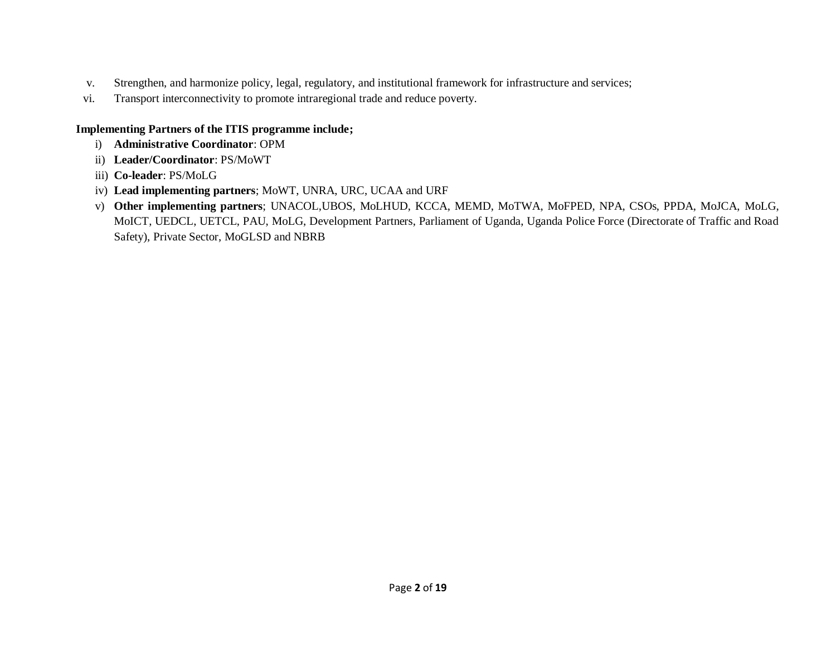- v. Strengthen, and harmonize policy, legal, regulatory, and institutional framework for infrastructure and services;
- vi. Transport interconnectivity to promote intraregional trade and reduce poverty.

# **Implementing Partners of the ITIS programme include;**

- i) **Administrative Coordinator**: OPM
- ii) **Leader/Coordinator**: PS/MoWT
- iii) **Co-leader**: PS/MoLG
- iv) **Lead implementing partners**; MoWT, UNRA, URC, UCAA and URF
- v) **Other implementing partners**; UNACOL,UBOS, MoLHUD, KCCA, MEMD, MoTWA, MoFPED, NPA, CSOs, PPDA, MoJCA, MoLG, MoICT, UEDCL, UETCL, PAU, MoLG, Development Partners, Parliament of Uganda, Uganda Police Force (Directorate of Traffic and Road Safety), Private Sector, MoGLSD and NBRB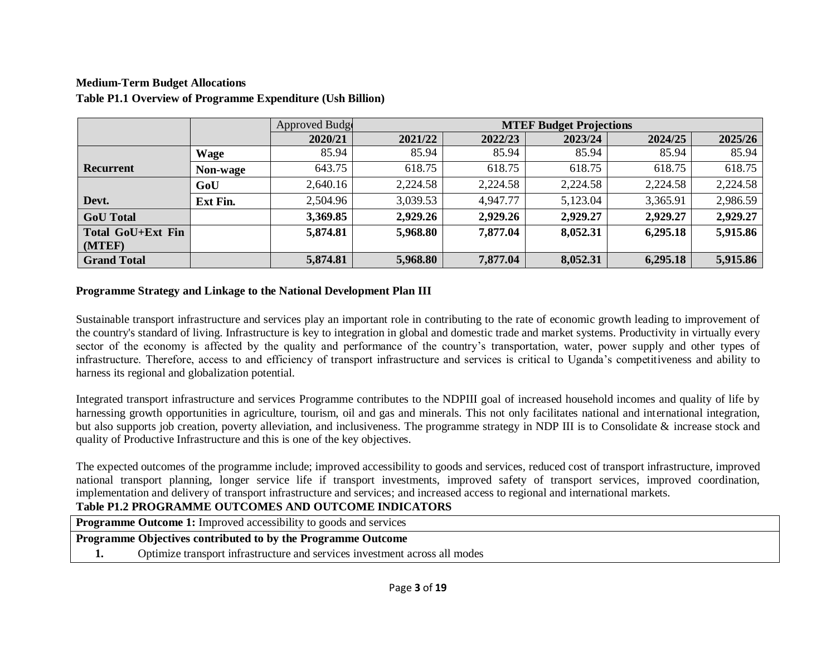# **Medium-Term Budget Allocations Table P1.1 Overview of Programme Expenditure (Ush Billion)**

|                    |                 | Approved Budge | <b>MTEF Budget Projections</b> |          |          |          |          |  |  |
|--------------------|-----------------|----------------|--------------------------------|----------|----------|----------|----------|--|--|
|                    |                 | 2020/21        | 2021/22                        | 2022/23  | 2023/24  | 2024/25  | 2025/26  |  |  |
|                    | <b>Wage</b>     | 85.94          | 85.94                          | 85.94    | 85.94    | 85.94    | 85.94    |  |  |
| Recurrent          | <b>Non-wage</b> | 643.75         | 618.75                         | 618.75   | 618.75   | 618.75   | 618.75   |  |  |
|                    | GoU             | 2,640.16       | 2,224.58                       | 2,224.58 | 2,224.58 | 2,224.58 | 2,224.58 |  |  |
| Devt.              | <b>Ext Fin.</b> | 2,504.96       | 3,039.53                       | 4,947.77 | 5,123.04 | 3,365.91 | 2,986.59 |  |  |
| <b>GoU</b> Total   |                 | 3,369.85       | 2,929.26                       | 2,929.26 | 2,929.27 | 2,929.27 | 2,929.27 |  |  |
| Total GoU+Ext Fin  |                 | 5,874.81       | 5,968.80                       | 7,877.04 | 8,052.31 | 6,295.18 | 5,915.86 |  |  |
| (MTEF)             |                 |                |                                |          |          |          |          |  |  |
| <b>Grand Total</b> |                 | 5,874.81       | 5,968.80                       | 7,877.04 | 8,052.31 | 6,295.18 | 5,915.86 |  |  |

#### **Programme Strategy and Linkage to the National Development Plan III**

Sustainable transport infrastructure and services play an important role in contributing to the rate of economic growth leading to improvement of the country's standard of living. Infrastructure is key to integration in global and domestic trade and market systems. Productivity in virtually every sector of the economy is affected by the quality and performance of the country's transportation, water, power supply and other types of infrastructure. Therefore, access to and efficiency of transport infrastructure and services is critical to Uganda's competitiveness and ability to harness its regional and globalization potential.

Integrated transport infrastructure and services Programme contributes to the NDPIII goal of increased household incomes and quality of life by harnessing growth opportunities in agriculture, tourism, oil and gas and minerals. This not only facilitates national and international integration, but also supports job creation, poverty alleviation, and inclusiveness. The programme strategy in NDP III is to Consolidate & increase stock and quality of Productive Infrastructure and this is one of the key objectives.

The expected outcomes of the programme include; improved accessibility to goods and services, reduced cost of transport infrastructure, improved national transport planning, longer service life if transport investments, improved safety of transport services, improved coordination, implementation and delivery of transport infrastructure and services; and increased access to regional and international markets.

## **Table P1.2 PROGRAMME OUTCOMES AND OUTCOME INDICATORS**

**Programme Outcome 1:** Improved accessibility to goods and services

**Programme Objectives contributed to by the Programme Outcome**

**1.** Optimize transport infrastructure and services investment across all modes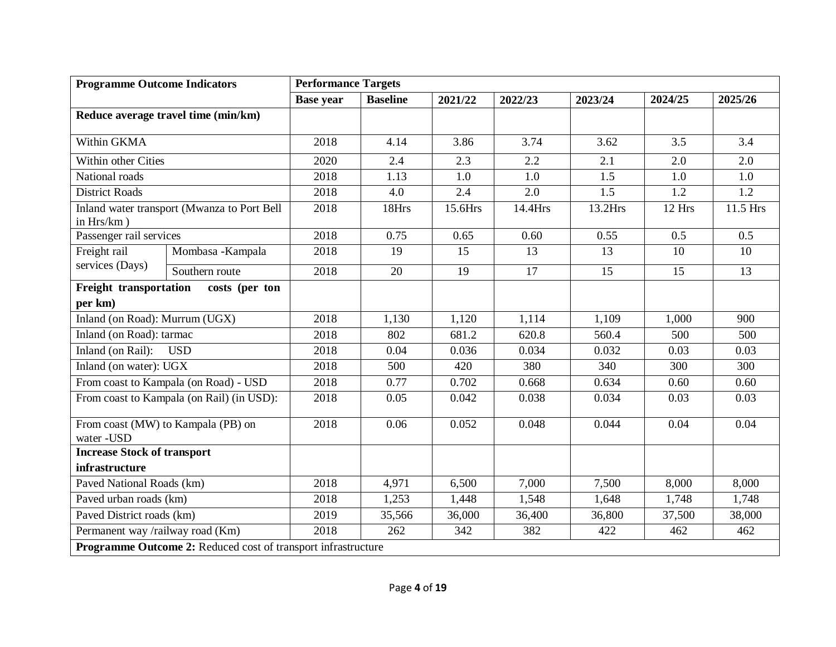| <b>Programme Outcome Indicators</b> |                                                               | <b>Performance Targets</b> |                 |         |         |         |         |                 |
|-------------------------------------|---------------------------------------------------------------|----------------------------|-----------------|---------|---------|---------|---------|-----------------|
|                                     |                                                               | <b>Base year</b>           | <b>Baseline</b> | 2021/22 | 2022/23 | 2023/24 | 2024/25 | 2025/26         |
|                                     | Reduce average travel time (min/km)                           |                            |                 |         |         |         |         |                 |
| Within GKMA                         |                                                               | 2018                       | 4.14            | 3.86    | 3.74    | 3.62    | 3.5     | 3.4             |
| Within other Cities                 |                                                               | 2020                       | 2.4             | 2.3     | 2.2     | 2.1     | 2.0     | 2.0             |
| National roads                      |                                                               | 2018                       | 1.13            | 1.0     | 1.0     | 1.5     | 1.0     | 1.0             |
| <b>District Roads</b>               |                                                               | 2018                       | 4.0             | 2.4     | 2.0     | 1.5     | 1.2     | 1.2             |
| in Hrs/km)                          | Inland water transport (Mwanza to Port Bell                   | 2018                       | 18Hrs           | 15.6Hrs | 14.4Hrs | 13.2Hrs | 12 Hrs  | 11.5 Hrs        |
| Passenger rail services             |                                                               | 2018                       | 0.75            | 0.65    | 0.60    | 0.55    | 0.5     | 0.5             |
| Freight rail                        | Mombasa - Kampala                                             | 2018                       | 19              | 15      | 13      | 13      | 10      | 10              |
| services (Days)                     | Southern route                                                | 2018                       | 20              | 19      | 17      | 15      | 15      | $\overline{13}$ |
| Freight transportation              | costs (per ton                                                |                            |                 |         |         |         |         |                 |
| per km)                             |                                                               |                            |                 |         |         |         |         |                 |
| Inland (on Road): Murrum (UGX)      |                                                               | 2018                       | 1,130           | 1,120   | 1,114   | 1,109   | 1,000   | 900             |
| Inland (on Road): tarmac            |                                                               | 2018                       | 802             | 681.2   | 620.8   | 560.4   | 500     | 500             |
| Inland (on Rail):                   | <b>USD</b>                                                    | 2018                       | 0.04            | 0.036   | 0.034   | 0.032   | 0.03    | 0.03            |
| Inland (on water): UGX              |                                                               | 2018                       | 500             | 420     | 380     | 340     | 300     | 300             |
|                                     | From coast to Kampala (on Road) - USD                         | 2018                       | 0.77            | 0.702   | 0.668   | 0.634   | 0.60    | 0.60            |
|                                     | From coast to Kampala (on Rail) (in USD):                     | 2018                       | 0.05            | 0.042   | 0.038   | 0.034   | 0.03    | 0.03            |
| water -USD                          | From coast (MW) to Kampala (PB) on                            | 2018                       | 0.06            | 0.052   | 0.048   | 0.044   | 0.04    | 0.04            |
| <b>Increase Stock of transport</b>  |                                                               |                            |                 |         |         |         |         |                 |
| infrastructure                      |                                                               |                            |                 |         |         |         |         |                 |
| Paved National Roads (km)           |                                                               | 2018                       | 4,971           | 6,500   | 7,000   | 7,500   | 8,000   | 8,000           |
| Paved urban roads (km)              |                                                               | 2018                       | 1,253           | 1,448   | 1,548   | 1,648   | 1,748   | 1,748           |
| Paved District roads (km)           |                                                               | 2019                       | 35,566          | 36,000  | 36,400  | 36,800  | 37,500  | 38,000          |
| Permanent way /railway road (Km)    |                                                               | 2018                       | 262             | 342     | 382     | 422     | 462     | 462             |
|                                     | Programme Outcome 2: Reduced cost of transport infrastructure |                            |                 |         |         |         |         |                 |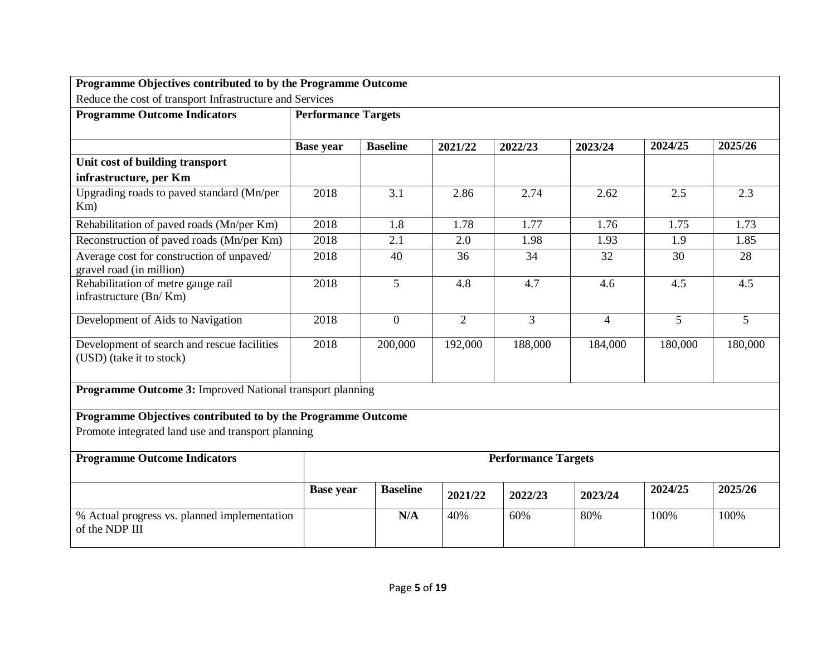| Programme Objectives contributed to by the Programme Outcome            |                            |                 |                |         |                |         |         |
|-------------------------------------------------------------------------|----------------------------|-----------------|----------------|---------|----------------|---------|---------|
| Reduce the cost of transport Infrastructure and Services                |                            |                 |                |         |                |         |         |
| <b>Programme Outcome Indicators</b>                                     | <b>Performance Targets</b> |                 |                |         |                |         |         |
|                                                                         |                            |                 |                |         |                |         |         |
|                                                                         | <b>Base year</b>           | <b>Baseline</b> | 2021/22        | 2022/23 | 2023/24        | 2024/25 | 2025/26 |
| Unit cost of building transport                                         |                            |                 |                |         |                |         |         |
| infrastructure, per Km                                                  |                            |                 |                |         |                |         |         |
| Upgrading roads to paved standard (Mn/per<br>Km)                        | 2018                       | 3.1             | 2.86           | 2.74    | 2.62           | 2.5     | 2.3     |
| Rehabilitation of paved roads (Mn/per Km)                               | 2018                       | 1.8             | 1.78           | 1.77    | 1.76           | 1.75    | 1.73    |
| Reconstruction of paved roads (Mn/per Km)                               | 2018                       | 2.1             | 2.0            | 1.98    | 1.93           | 1.9     | 1.85    |
| Average cost for construction of unpaved/<br>gravel road (in million)   | 2018                       | 40              | 36             | 34      | 32             | 30      | 28      |
| Rehabilitation of metre gauge rail<br>infrastructure (Bn/Km)            | 2018                       | 5               | 4.8            | 4.7     | 4.6            | 4.5     | 4.5     |
| Development of Aids to Navigation                                       | 2018                       | $\overline{0}$  | $\overline{2}$ | 3       | $\overline{4}$ | 5       | 5       |
| Development of search and rescue facilities<br>(USD) (take it to stock) | 2018                       | 200,000         | 192,000        | 188,000 | 184,000        | 180,000 | 180,000 |
| <b>Programme Outcome 3:</b> Improved National transport planning        |                            |                 |                |         |                |         |         |
| Programme Objectives contributed to by the Programme Outcome            |                            |                 |                |         |                |         |         |
| Promote integrated land use and transport planning                      |                            |                 |                |         |                |         |         |
| <b>Programme Outcome Indicators</b>                                     | <b>Performance Targets</b> |                 |                |         |                |         |         |
|                                                                         | <b>Base year</b>           | <b>Baseline</b> | 2021/22        | 2022/23 | 2023/24        | 2024/25 | 2025/26 |
| % Actual progress vs. planned implementation<br>of the NDP III          |                            | N/A             | 40%            | 60%     | 80%            | 100%    | 100%    |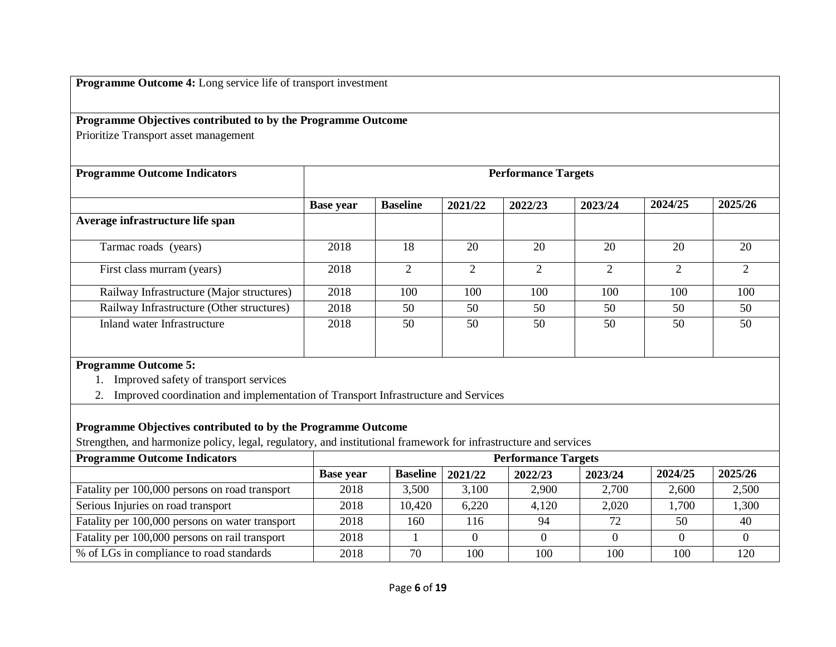**Programme Outcome 4:** Long service life of transport investment

# **Programme Objectives contributed to by the Programme Outcome**

Prioritize Transport asset management

| <b>Programme Outcome Indicators</b>       | <b>Performance Targets</b> |                             |                |                |         |         |         |
|-------------------------------------------|----------------------------|-----------------------------|----------------|----------------|---------|---------|---------|
|                                           | <b>Base year</b>           | <b>Baseline</b>             | 2021/22        | 2022/23        | 2023/24 | 2024/25 | 2025/26 |
| Average infrastructure life span          |                            |                             |                |                |         |         |         |
| Tarmac roads (years)                      | 2018                       | 18                          | 20             | 20             | 20      | 20      | 20      |
| First class murram (years)                | 2018                       | $\mathcal{D}_{\mathcal{L}}$ | $\overline{c}$ | $\overline{2}$ | ◠       | ⌒       | ◠       |
| Railway Infrastructure (Major structures) | 2018                       | 100                         | 100            | 100            | 100     | 100     | 100     |
| Railway Infrastructure (Other structures) | 2018                       | 50                          | 50             | 50             | 50      | 50      | 50      |
| Inland water Infrastructure               | 2018                       | 50                          | 50             | 50             | 50      | 50      | 50      |

# **Programme Outcome 5:**

1. Improved safety of transport services

2. Improved coordination and implementation of Transport Infrastructure and Services

### **Programme Objectives contributed to by the Programme Outcome**

Strengthen, and harmonize policy, legal, regulatory, and institutional framework for infrastructure and services

| <b>Programme Outcome Indicators</b>             | <b>Performance Targets</b> |                 |         |         |         |         |         |
|-------------------------------------------------|----------------------------|-----------------|---------|---------|---------|---------|---------|
|                                                 | <b>Base year</b>           | <b>Baseline</b> | 2021/22 | 2022/23 | 2023/24 | 2024/25 | 2025/26 |
| Fatality per 100,000 persons on road transport  | 2018                       | 3,500           | 3,100   | 2,900   | 2,700   | 2,600   | 2,500   |
| Serious Injuries on road transport              | 2018                       | 10,420          | 6,220   | 4,120   | 2,020   | 1,700   | 1,300   |
| Fatality per 100,000 persons on water transport | 2018                       | 160             | 116     | 94      | 72      | 50      | 40      |
| Fatality per 100,000 persons on rail transport  | 2018                       |                 |         |         |         |         |         |
| % of LGs in compliance to road standards        | 2018                       | 70              | 100     | 100     | 100     | 100     | 120     |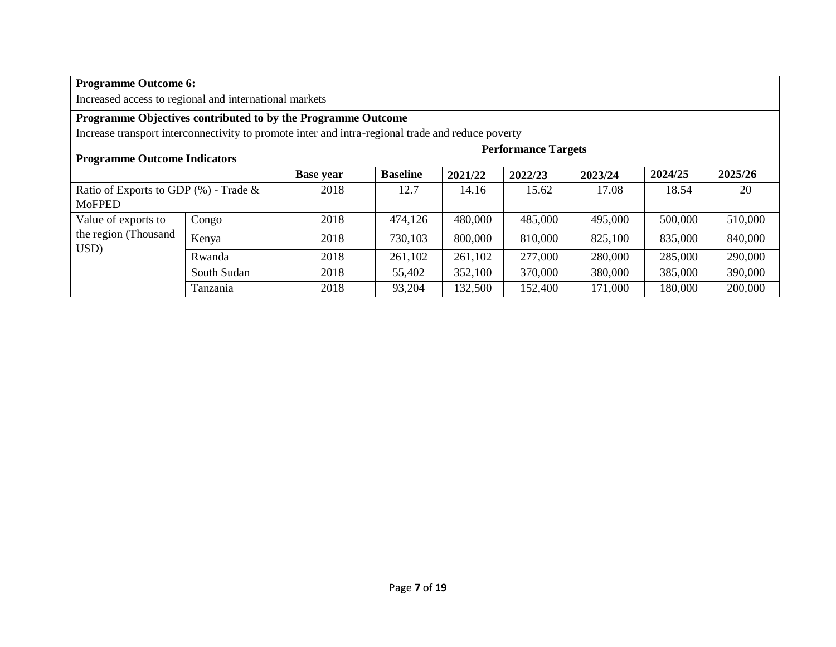| <b>Programme Outcome 6:</b>                                                                       |             |                  |                 |         |                            |                               |         |         |  |  |  |
|---------------------------------------------------------------------------------------------------|-------------|------------------|-----------------|---------|----------------------------|-------------------------------|---------|---------|--|--|--|
| Increased access to regional and international markets                                            |             |                  |                 |         |                            |                               |         |         |  |  |  |
| Programme Objectives contributed to by the Programme Outcome                                      |             |                  |                 |         |                            |                               |         |         |  |  |  |
| Increase transport interconnectivity to promote inter and intra-regional trade and reduce poverty |             |                  |                 |         |                            |                               |         |         |  |  |  |
| <b>Programme Outcome Indicators</b>                                                               |             |                  |                 |         | <b>Performance Targets</b> |                               |         |         |  |  |  |
|                                                                                                   |             | <b>Base year</b> | <b>Baseline</b> | 2021/22 | 2022/23                    | 2024/25<br>2025/26<br>2023/24 |         |         |  |  |  |
| Ratio of Exports to GDP $(\%)$ - Trade $\&$                                                       |             | 2018             | 12.7            | 14.16   | 15.62                      | 17.08<br>18.54<br>20          |         |         |  |  |  |
| <b>MoFPED</b>                                                                                     |             |                  |                 |         |                            |                               |         |         |  |  |  |
| Value of exports to                                                                               | Congo       | 2018             | 474,126         | 480,000 | 485,000                    | 495,000                       | 500,000 | 510,000 |  |  |  |
| the region (Thousand<br>USD)                                                                      | Kenya       | 2018             | 730,103         | 800,000 | 810,000                    | 825,100                       | 835,000 | 840,000 |  |  |  |
|                                                                                                   | Rwanda      | 2018             | 261,102         | 261,102 | 277,000                    | 280,000                       | 285,000 | 290,000 |  |  |  |
|                                                                                                   | South Sudan | 2018             | 55,402          | 352,100 | 370,000                    | 380,000                       | 385,000 | 390,000 |  |  |  |
|                                                                                                   | Tanzania    | 2018             | 93,204          | 132,500 | 152,400                    | 171,000                       | 180,000 | 200,000 |  |  |  |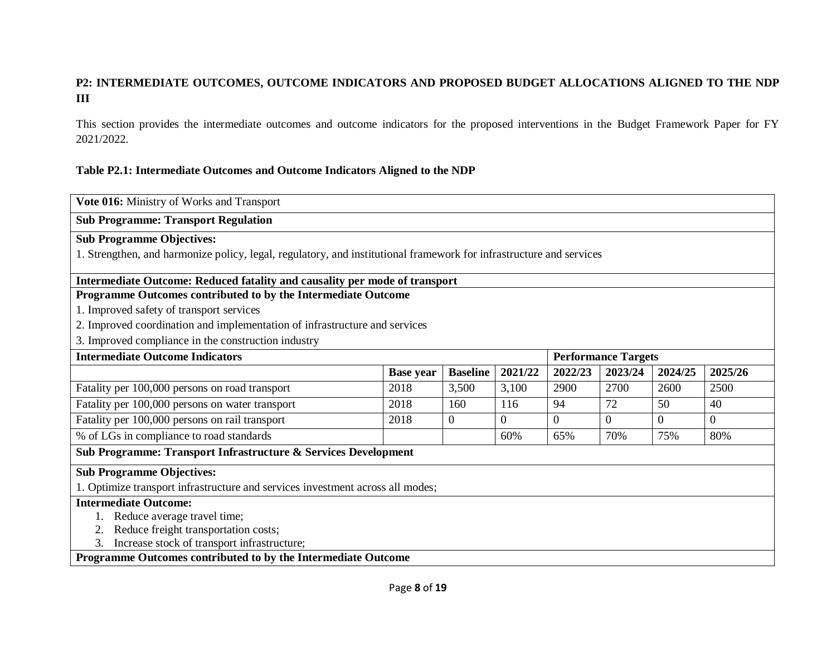### **P2: INTERMEDIATE OUTCOMES, OUTCOME INDICATORS AND PROPOSED BUDGET ALLOCATIONS ALIGNED TO THE NDP III**

This section provides the intermediate outcomes and outcome indicators for the proposed interventions in the Budget Framework Paper for FY 2021/2022.

#### **Table P2.1: Intermediate Outcomes and Outcome Indicators Aligned to the NDP**

| Vote 016: Ministry of Works and Transport                                                                           |                                                                                            |       |          |          |          |      |                |
|---------------------------------------------------------------------------------------------------------------------|--------------------------------------------------------------------------------------------|-------|----------|----------|----------|------|----------------|
| <b>Sub Programme: Transport Regulation</b>                                                                          |                                                                                            |       |          |          |          |      |                |
| <b>Sub Programme Objectives:</b>                                                                                    |                                                                                            |       |          |          |          |      |                |
| 1. Strengthen, and harmonize policy, legal, regulatory, and institutional framework for infrastructure and services |                                                                                            |       |          |          |          |      |                |
| Intermediate Outcome: Reduced fatality and causality per mode of transport                                          |                                                                                            |       |          |          |          |      |                |
| Programme Outcomes contributed to by the Intermediate Outcome                                                       |                                                                                            |       |          |          |          |      |                |
| 1. Improved safety of transport services                                                                            |                                                                                            |       |          |          |          |      |                |
| 2. Improved coordination and implementation of infrastructure and services                                          |                                                                                            |       |          |          |          |      |                |
| 3. Improved compliance in the construction industry                                                                 |                                                                                            |       |          |          |          |      |                |
| <b>Intermediate Outcome Indicators</b><br><b>Performance Targets</b>                                                |                                                                                            |       |          |          |          |      |                |
|                                                                                                                     | <b>Baseline</b><br>2021/22<br>2023/24<br>2024/25<br>2025/26<br>2022/23<br><b>Base year</b> |       |          |          |          |      |                |
| Fatality per 100,000 persons on road transport                                                                      | 2018                                                                                       | 3,500 | 3,100    | 2900     | 2700     | 2600 | 2500           |
| Fatality per 100,000 persons on water transport                                                                     | 2018                                                                                       | 160   | 116      | 94       | 72       | 50   | 40             |
| Fatality per 100,000 persons on rail transport                                                                      | 2018                                                                                       | 0     | $\Omega$ | $\Omega$ | $\Omega$ | 0    | $\overline{0}$ |
| % of LGs in compliance to road standards                                                                            |                                                                                            |       | 60%      | 65%      | 70%      | 75%  | 80%            |
| Sub Programme: Transport Infrastructure & Services Development                                                      |                                                                                            |       |          |          |          |      |                |
| <b>Sub Programme Objectives:</b>                                                                                    |                                                                                            |       |          |          |          |      |                |
| 1. Optimize transport infrastructure and services investment across all modes;                                      |                                                                                            |       |          |          |          |      |                |
| <b>Intermediate Outcome:</b>                                                                                        |                                                                                            |       |          |          |          |      |                |
| Reduce average travel time;                                                                                         |                                                                                            |       |          |          |          |      |                |
| Reduce freight transportation costs;                                                                                |                                                                                            |       |          |          |          |      |                |
| Increase stock of transport infrastructure;<br>3.                                                                   |                                                                                            |       |          |          |          |      |                |
| Programme Outcomes contributed to by the Intermediate Outcome                                                       |                                                                                            |       |          |          |          |      |                |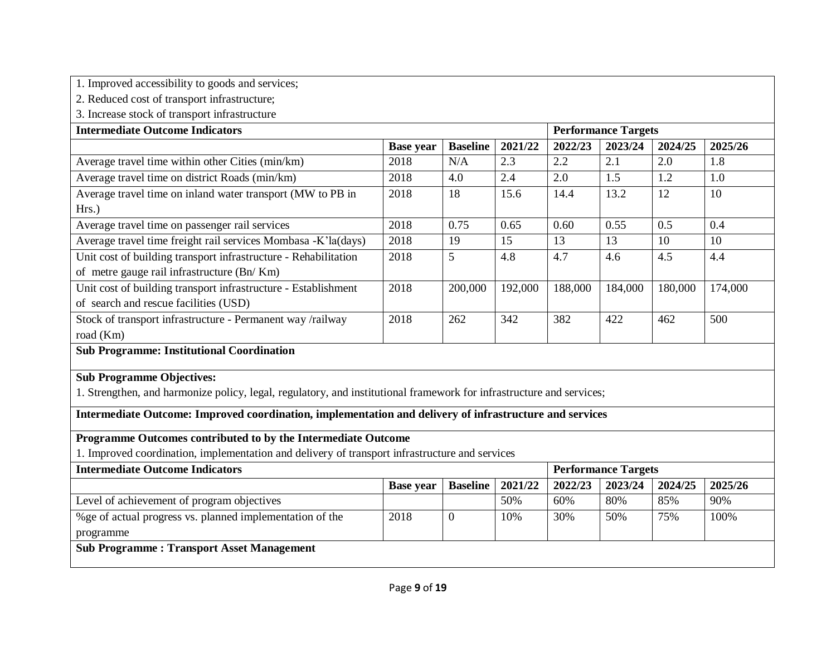|  | 1. Improved accessibility to goods and services; |  |  |
|--|--------------------------------------------------|--|--|
|  |                                                  |  |  |

2. Reduced cost of transport infrastructure;

3. Increase stock of transport infrastructure

| <b>Intermediate Outcome Indicators</b>                                                                               |                  |                 |         | <b>Performance Targets</b> |                            |         |         |  |
|----------------------------------------------------------------------------------------------------------------------|------------------|-----------------|---------|----------------------------|----------------------------|---------|---------|--|
|                                                                                                                      | <b>Base year</b> | <b>Baseline</b> | 2021/22 | 2022/23                    | 2023/24                    | 2024/25 | 2025/26 |  |
| Average travel time within other Cities (min/km)                                                                     | 2018             | N/A             | 2.3     | 2.2                        | 2.1                        | 2.0     | 1.8     |  |
| Average travel time on district Roads (min/km)                                                                       | 2018             | 4.0             | 2.4     | 2.0                        | 1.5                        | 1.2     | 1.0     |  |
| Average travel time on inland water transport (MW to PB in                                                           | 2018             | 18              | 15.6    | 14.4                       | 13.2                       | 12      | 10      |  |
| Hrs.)                                                                                                                |                  |                 |         |                            |                            |         |         |  |
| Average travel time on passenger rail services                                                                       | 2018             | 0.75            | 0.65    | 0.60                       | 0.55                       | 0.5     | 0.4     |  |
| Average travel time freight rail services Mombasa -K'la(days)                                                        | 2018             | 19              | 15      | 13                         | 13                         | 10      | 10      |  |
| Unit cost of building transport infrastructure - Rehabilitation                                                      | 2018             | 5               | 4.8     | 4.7                        | 4.6                        | 4.5     | 4.4     |  |
| of metre gauge rail infrastructure (Bn/Km)                                                                           |                  |                 |         |                            |                            |         |         |  |
| Unit cost of building transport infrastructure - Establishment                                                       | 2018             | 200,000         | 192,000 | 188,000                    | 184,000                    | 180,000 | 174,000 |  |
| of search and rescue facilities (USD)                                                                                |                  |                 |         |                            |                            |         |         |  |
| Stock of transport infrastructure - Permanent way /railway                                                           | 2018             | 262             | 342     | 382                        | 422                        | 462     | 500     |  |
| road (Km)                                                                                                            |                  |                 |         |                            |                            |         |         |  |
| <b>Sub Programme: Institutional Coordination</b>                                                                     |                  |                 |         |                            |                            |         |         |  |
|                                                                                                                      |                  |                 |         |                            |                            |         |         |  |
| <b>Sub Programme Objectives:</b>                                                                                     |                  |                 |         |                            |                            |         |         |  |
| 1. Strengthen, and harmonize policy, legal, regulatory, and institutional framework for infrastructure and services; |                  |                 |         |                            |                            |         |         |  |
| Intermediate Outcome: Improved coordination, implementation and delivery of infrastructure and services              |                  |                 |         |                            |                            |         |         |  |
| Programme Outcomes contributed to by the Intermediate Outcome                                                        |                  |                 |         |                            |                            |         |         |  |
| 1. Improved coordination, implementation and delivery of transport infrastructure and services                       |                  |                 |         |                            |                            |         |         |  |
| <b>Intermediate Outcome Indicators</b>                                                                               |                  |                 |         |                            | <b>Performance Targets</b> |         |         |  |

|                                                           | <b>Base year</b> | <b>Baseline</b>   2021/22 |     | 2022/23 | 2023/24 | 2024/25 | 2025/26 |
|-----------------------------------------------------------|------------------|---------------------------|-----|---------|---------|---------|---------|
| Level of achievement of program objectives                |                  |                           | 50% | 60%     | 80%     | 85%     | 90%     |
| % ge of actual progress vs. planned implementation of the | 2018             | U                         | 10% | 30%     | 50%     | 75%     | 100%    |
| programme                                                 |                  |                           |     |         |         |         |         |
| <b>Sub Programme: Transport Asset Management</b>          |                  |                           |     |         |         |         |         |
|                                                           |                  |                           |     |         |         |         |         |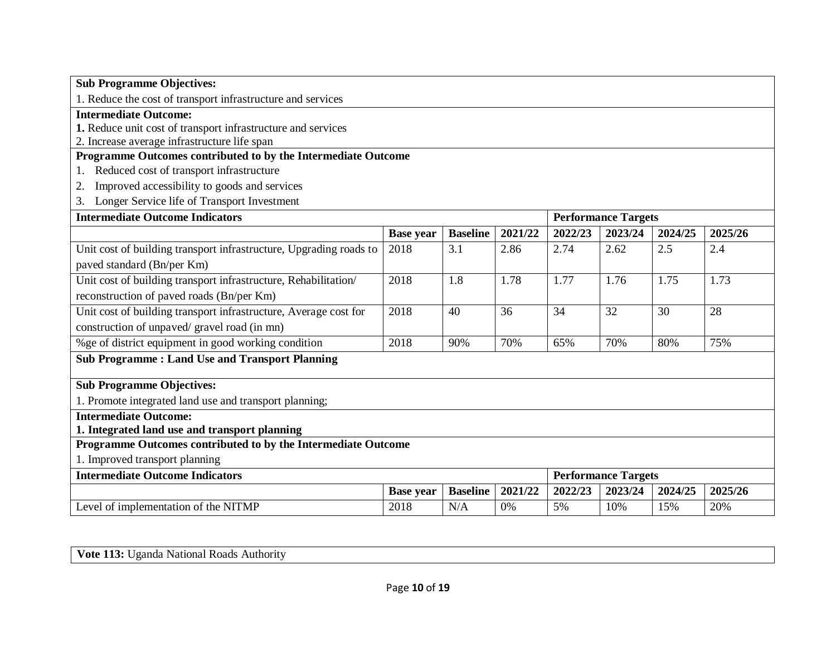| <b>Sub Programme Objectives:</b>                                   |                  |                 |         |         |                            |         |         |
|--------------------------------------------------------------------|------------------|-----------------|---------|---------|----------------------------|---------|---------|
| 1. Reduce the cost of transport infrastructure and services        |                  |                 |         |         |                            |         |         |
| <b>Intermediate Outcome:</b>                                       |                  |                 |         |         |                            |         |         |
| 1. Reduce unit cost of transport infrastructure and services       |                  |                 |         |         |                            |         |         |
| 2. Increase average infrastructure life span                       |                  |                 |         |         |                            |         |         |
| Programme Outcomes contributed to by the Intermediate Outcome      |                  |                 |         |         |                            |         |         |
| Reduced cost of transport infrastructure<br>1.                     |                  |                 |         |         |                            |         |         |
| Improved accessibility to goods and services<br>2.                 |                  |                 |         |         |                            |         |         |
| Longer Service life of Transport Investment<br>3.                  |                  |                 |         |         |                            |         |         |
| <b>Intermediate Outcome Indicators</b>                             |                  |                 |         |         | <b>Performance Targets</b> |         |         |
|                                                                    | <b>Base year</b> | <b>Baseline</b> | 2021/22 | 2022/23 | 2023/24                    | 2024/25 | 2025/26 |
| Unit cost of building transport infrastructure, Upgrading roads to | 2018             | 3.1             | 2.86    | 2.74    | 2.62                       | 2.5     | 2.4     |
| paved standard (Bn/per Km)                                         |                  |                 |         |         |                            |         |         |
| Unit cost of building transport infrastructure, Rehabilitation/    | 2018             | 1.8             | 1.78    | 1.77    | 1.76                       | 1.75    | 1.73    |
| reconstruction of paved roads (Bn/per Km)                          |                  |                 |         |         |                            |         |         |
| Unit cost of building transport infrastructure, Average cost for   | 2018             | 40              | 36      | 34      | 32                         | 30      | 28      |
| construction of unpaved/ gravel road (in mn)                       |                  |                 |         |         |                            |         |         |
| % ge of district equipment in good working condition               | 2018             | 90%             | 70%     | 65%     | 70%                        | 80%     | 75%     |
| <b>Sub Programme: Land Use and Transport Planning</b>              |                  |                 |         |         |                            |         |         |
|                                                                    |                  |                 |         |         |                            |         |         |
| <b>Sub Programme Objectives:</b>                                   |                  |                 |         |         |                            |         |         |
| 1. Promote integrated land use and transport planning;             |                  |                 |         |         |                            |         |         |
| <b>Intermediate Outcome:</b>                                       |                  |                 |         |         |                            |         |         |
| 1. Integrated land use and transport planning                      |                  |                 |         |         |                            |         |         |
| Programme Outcomes contributed to by the Intermediate Outcome      |                  |                 |         |         |                            |         |         |
| 1. Improved transport planning                                     |                  |                 |         |         |                            |         |         |
| <b>Intermediate Outcome Indicators</b>                             |                  |                 |         |         | <b>Performance Targets</b> |         |         |
|                                                                    | <b>Base year</b> | <b>Baseline</b> | 2021/22 | 2022/23 | 2023/24                    | 2024/25 | 2025/26 |
| Level of implementation of the NITMP                               | 2018             | N/A             | 0%      | 5%      | 10%                        | 15%     | 20%     |

| Vote<br>Authority<br>National<br>lganda.<br>Roads |
|---------------------------------------------------|
|---------------------------------------------------|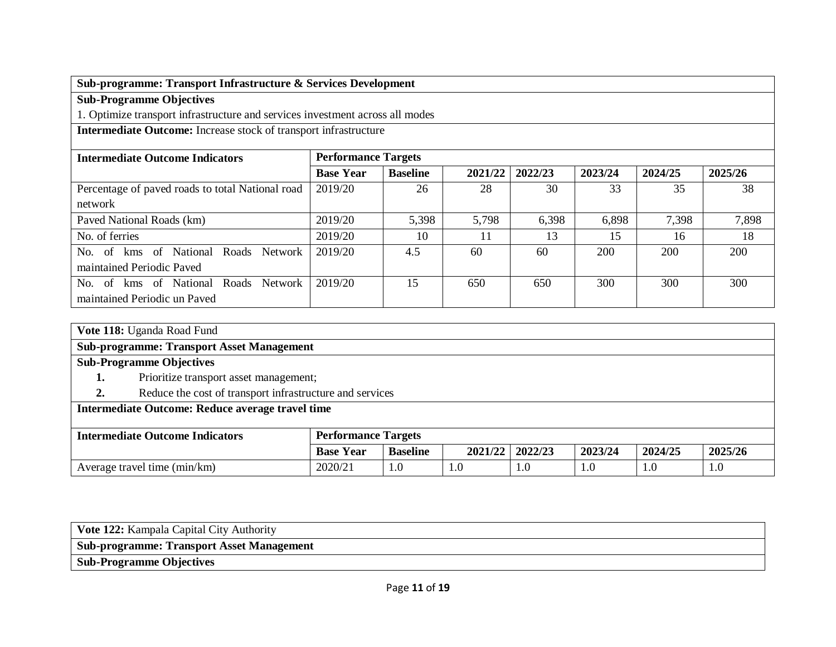# **Sub-programme: Transport Infrastructure & Services Development**

**Sub-Programme Objectives**

1. Optimize transport infrastructure and services investment across all modes

**Intermediate Outcome:** Increase stock of transport infrastructure

| <b>Intermediate Outcome Indicators</b>           |                  | <b>Performance Targets</b> |         |         |         |            |         |  |  |
|--------------------------------------------------|------------------|----------------------------|---------|---------|---------|------------|---------|--|--|
|                                                  | <b>Base Year</b> | <b>Baseline</b>            | 2021/22 | 2022/23 | 2023/24 | 2024/25    | 2025/26 |  |  |
| Percentage of paved roads to total National road | 2019/20          | 26                         | 28      | 30      | 33      | 35         | 38      |  |  |
| network                                          |                  |                            |         |         |         |            |         |  |  |
| Paved National Roads (km)                        | 2019/20          | 5,398                      | 5.798   | 6,398   | 6,898   | 7,398      | 7,898   |  |  |
| No. of ferries                                   | 2019/20          | 10                         | 11      | 13      | 15      | 16         | 18      |  |  |
| kms of National Roads Network<br>No. of          | 2019/20          | 4.5                        | 60      | 60      | 200     | <b>200</b> | 200     |  |  |
| maintained Periodic Payed                        |                  |                            |         |         |         |            |         |  |  |
| kms of National Roads Network<br>No. of          | 2019/20          | 15                         | 650     | 650     | 300     | 300        | 300     |  |  |
| maintained Periodic un Paved                     |                  |                            |         |         |         |            |         |  |  |

| Vote 118: Uganda Road Fund                                     |                                        |                 |         |         |         |         |         |  |
|----------------------------------------------------------------|----------------------------------------|-----------------|---------|---------|---------|---------|---------|--|
| <b>Sub-programme: Transport Asset Management</b>               |                                        |                 |         |         |         |         |         |  |
| <b>Sub-Programme Objectives</b>                                |                                        |                 |         |         |         |         |         |  |
| 1.                                                             | Prioritize transport asset management; |                 |         |         |         |         |         |  |
| Reduce the cost of transport infrastructure and services<br>2. |                                        |                 |         |         |         |         |         |  |
| Intermediate Outcome: Reduce average travel time               |                                        |                 |         |         |         |         |         |  |
|                                                                |                                        |                 |         |         |         |         |         |  |
| <b>Intermediate Outcome Indicators</b>                         | <b>Performance Targets</b>             |                 |         |         |         |         |         |  |
|                                                                | <b>Base Year</b>                       | <b>Baseline</b> | 2021/22 | 2022/23 | 2023/24 | 2024/25 | 2025/26 |  |
| Average travel time (min/km)                                   | 2020/21                                | 1.0             | 1.0     | 1.0     | 1.0     | 1.0     | 1.0     |  |

| Vote 122: Kampala Capital City Authority         |
|--------------------------------------------------|
| <b>Sub-programme: Transport Asset Management</b> |
| <b>Sub-Programme Objectives</b>                  |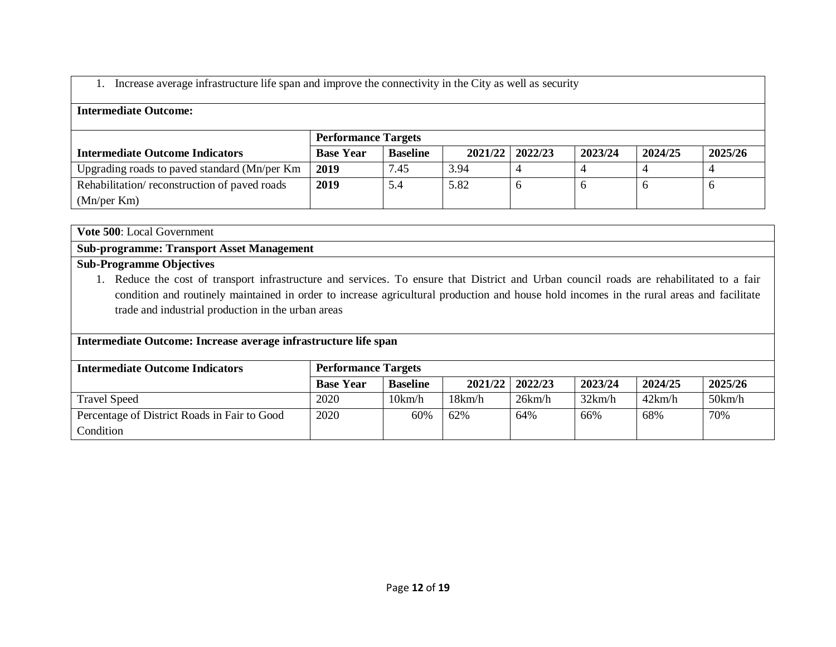### 1. Increase average infrastructure life span and improve the connectivity in the City as well as security

### **Intermediate Outcome:**

|                                              | <b>Performance Targets</b> |                 |      |                   |         |         |         |  |
|----------------------------------------------|----------------------------|-----------------|------|-------------------|---------|---------|---------|--|
| <b>Intermediate Outcome Indicators</b>       | <b>Base Year</b>           | <b>Baseline</b> |      | 2021/22   2022/23 | 2023/24 | 2024/25 | 2025/26 |  |
| Upgrading roads to paved standard (Mn/per Km | 2019                       | 7.45            | 3.94 |                   |         |         |         |  |
| Rehabilitation/reconstruction of paved roads | 2019                       |                 | 5.82 | $\sigma$          |         |         |         |  |
| (Mn/per Km)                                  |                            |                 |      |                   |         |         |         |  |

**Vote 500**: Local Government

**Sub-programme: Transport Asset Management**

### **Sub-Programme Objectives**

1. Reduce the cost of transport infrastructure and services. To ensure that District and Urban council roads are rehabilitated to a fair condition and routinely maintained in order to increase agricultural production and house hold incomes in the rural areas and facilitate trade and industrial production in the urban areas

#### **Intermediate Outcome: Increase average infrastructure life span**

| <b>Intermediate Outcome Indicators</b>       | <b>Performance Targets</b> |                 |         |         |         |         |         |  |
|----------------------------------------------|----------------------------|-----------------|---------|---------|---------|---------|---------|--|
|                                              | <b>Base Year</b>           | <b>Baseline</b> | 2021/22 | 2022/23 | 2023/24 | 2024/25 | 2025/26 |  |
| <b>Travel Speed</b>                          | 2020                       | 10km/h          | 18km/h  | 26km/h  | 32km/h  | 42km/h  | 50km/h  |  |
| Percentage of District Roads in Fair to Good | 2020                       | 60%             | 62%     | 64%     | 66%     | 68%     | 70%     |  |
| Condition                                    |                            |                 |         |         |         |         |         |  |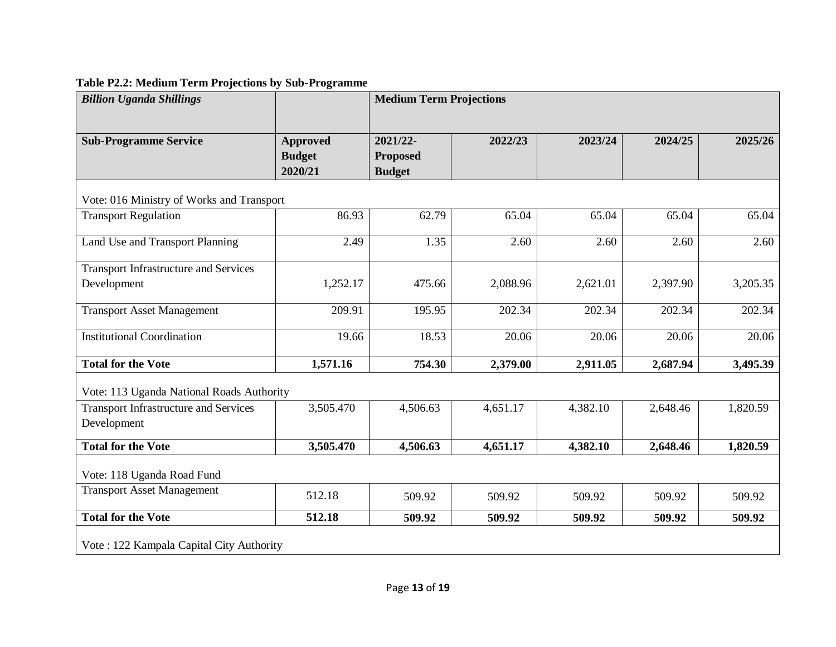# **Table P2.2: Medium Term Projections by Sub-Programme**

| <b>Billion Uganda Shillings</b>                             |                                             | <b>Medium Term Projections</b>               |          |          |          |          |  |  |  |
|-------------------------------------------------------------|---------------------------------------------|----------------------------------------------|----------|----------|----------|----------|--|--|--|
| <b>Sub-Programme Service</b>                                | <b>Approved</b><br><b>Budget</b><br>2020/21 | 2021/22-<br><b>Proposed</b><br><b>Budget</b> | 2022/23  | 2023/24  | 2024/25  | 2025/26  |  |  |  |
| Vote: 016 Ministry of Works and Transport                   |                                             |                                              |          |          |          |          |  |  |  |
| <b>Transport Regulation</b>                                 | 86.93                                       | 62.79                                        | 65.04    | 65.04    | 65.04    | 65.04    |  |  |  |
| Land Use and Transport Planning                             | 2.49                                        | 1.35                                         | 2.60     | 2.60     | 2.60     | 2.60     |  |  |  |
| <b>Transport Infrastructure and Services</b><br>Development | 1,252.17                                    | 475.66                                       | 2,088.96 | 2,621.01 | 2,397.90 | 3,205.35 |  |  |  |
| <b>Transport Asset Management</b>                           | 209.91                                      | 195.95                                       | 202.34   | 202.34   | 202.34   | 202.34   |  |  |  |
| <b>Institutional Coordination</b>                           | 19.66                                       | 18.53                                        | 20.06    | 20.06    | 20.06    | 20.06    |  |  |  |
| <b>Total for the Vote</b>                                   | 1,571.16                                    | 754.30                                       | 2,379.00 | 2,911.05 | 2,687.94 | 3,495.39 |  |  |  |
| Vote: 113 Uganda National Roads Authority                   |                                             |                                              |          |          |          |          |  |  |  |
| <b>Transport Infrastructure and Services</b><br>Development | 3,505.470                                   | 4,506.63                                     | 4,651.17 | 4,382.10 | 2,648.46 | 1,820.59 |  |  |  |
| <b>Total for the Vote</b>                                   | 3,505.470                                   | 4,506.63                                     | 4,651.17 | 4,382.10 | 2,648.46 | 1,820.59 |  |  |  |
| Vote: 118 Uganda Road Fund                                  |                                             |                                              |          |          |          |          |  |  |  |
| <b>Transport Asset Management</b>                           | 512.18                                      | 509.92                                       | 509.92   | 509.92   | 509.92   | 509.92   |  |  |  |
| <b>Total for the Vote</b>                                   | 512.18                                      | 509.92                                       | 509.92   | 509.92   | 509.92   | 509.92   |  |  |  |
| Vote: 122 Kampala Capital City Authority                    |                                             |                                              |          |          |          |          |  |  |  |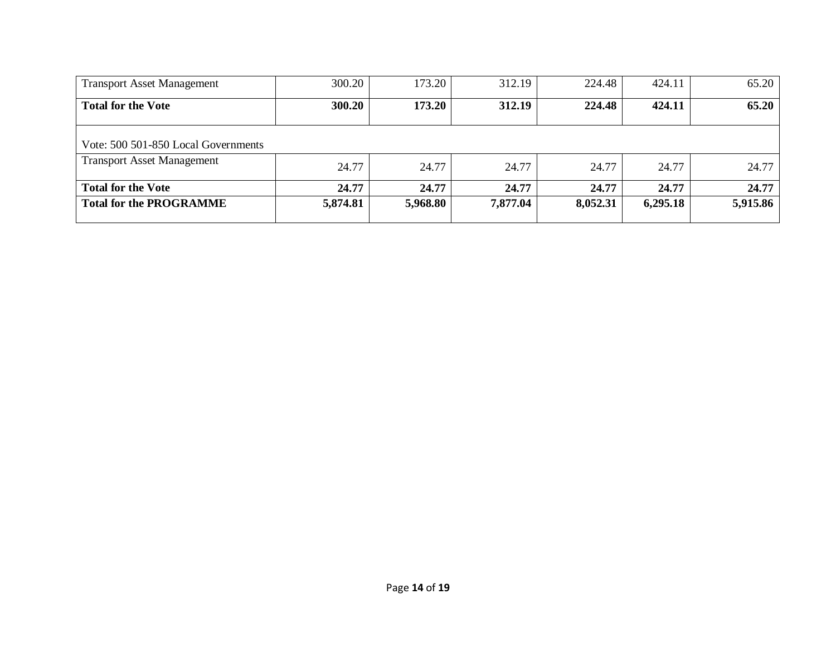| <b>Transport Asset Management</b>   | 300.20   | 173.20   | 312.19   | 224.48   | 424.11   | 65.20    |
|-------------------------------------|----------|----------|----------|----------|----------|----------|
| <b>Total for the Vote</b>           | 300.20   | 173.20   | 312.19   | 224.48   | 424.11   | 65.20    |
| Vote: 500 501-850 Local Governments |          |          |          |          |          |          |
| <b>Transport Asset Management</b>   | 24.77    | 24.77    | 24.77    | 24.77    | 24.77    | 24.77    |
| <b>Total for the Vote</b>           | 24.77    | 24.77    | 24.77    | 24.77    | 24.77    | 24.77    |
| <b>Total for the PROGRAMME</b>      | 5,874.81 | 5,968.80 | 7,877.04 | 8,052.31 | 6,295.18 | 5,915.86 |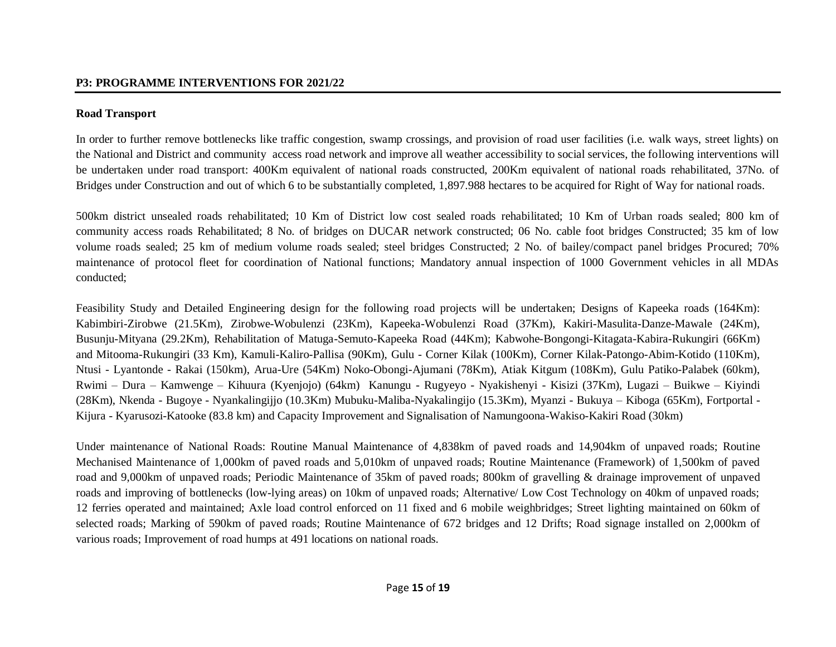### **Road Transport**

In order to further remove bottlenecks like traffic congestion, swamp crossings, and provision of road user facilities (i.e. walk ways, street lights) on the National and District and community access road network and improve all weather accessibility to social services, the following interventions will be undertaken under road transport: 400Km equivalent of national roads constructed, 200Km equivalent of national roads rehabilitated, 37No. of Bridges under Construction and out of which 6 to be substantially completed, 1,897.988 hectares to be acquired for Right of Way for national roads.

500km district unsealed roads rehabilitated; 10 Km of District low cost sealed roads rehabilitated; 10 Km of Urban roads sealed; 800 km of community access roads Rehabilitated; 8 No. of bridges on DUCAR network constructed; 06 No. cable foot bridges Constructed; 35 km of low volume roads sealed; 25 km of medium volume roads sealed; steel bridges Constructed; 2 No. of bailey/compact panel bridges Procured; 70% maintenance of protocol fleet for coordination of National functions; Mandatory annual inspection of 1000 Government vehicles in all MDAs conducted;

Feasibility Study and Detailed Engineering design for the following road projects will be undertaken; Designs of Kapeeka roads (164Km): Kabimbiri-Zirobwe (21.5Km), Zirobwe-Wobulenzi (23Km), Kapeeka-Wobulenzi Road (37Km), Kakiri-Masulita-Danze-Mawale (24Km), Busunju-Mityana (29.2Km), Rehabilitation of Matuga-Semuto-Kapeeka Road (44Km); Kabwohe-Bongongi-Kitagata-Kabira-Rukungiri (66Km) and Mitooma-Rukungiri (33 Km), Kamuli-Kaliro-Pallisa (90Km), Gulu - Corner Kilak (100Km), Corner Kilak-Patongo-Abim-Kotido (110Km), Ntusi - Lyantonde - Rakai (150km), Arua-Ure (54Km) Noko-Obongi-Ajumani (78Km), Atiak Kitgum (108Km), Gulu Patiko-Palabek (60km), Rwimi – Dura – Kamwenge – Kihuura (Kyenjojo) (64km) Kanungu - Rugyeyo - Nyakishenyi - Kisizi (37Km), Lugazi – Buikwe – Kiyindi (28Km), Nkenda - Bugoye - Nyankalingijjo (10.3Km) Mubuku-Maliba-Nyakalingijo (15.3Km), Myanzi - Bukuya – Kiboga (65Km), Fortportal - Kijura - Kyarusozi-Katooke (83.8 km) and Capacity Improvement and Signalisation of Namungoona-Wakiso-Kakiri Road (30km)

Under maintenance of National Roads: Routine Manual Maintenance of 4,838km of paved roads and 14,904km of unpaved roads; Routine Mechanised Maintenance of 1,000km of paved roads and 5,010km of unpaved roads; Routine Maintenance (Framework) of 1,500km of paved road and 9,000km of unpaved roads; Periodic Maintenance of 35km of paved roads; 800km of gravelling & drainage improvement of unpaved roads and improving of bottlenecks (low-lying areas) on 10km of unpaved roads; Alternative/ Low Cost Technology on 40km of unpaved roads; 12 ferries operated and maintained; Axle load control enforced on 11 fixed and 6 mobile weighbridges; Street lighting maintained on 60km of selected roads; Marking of 590km of paved roads; Routine Maintenance of 672 bridges and 12 Drifts; Road signage installed on 2,000km of various roads; Improvement of road humps at 491 locations on national roads.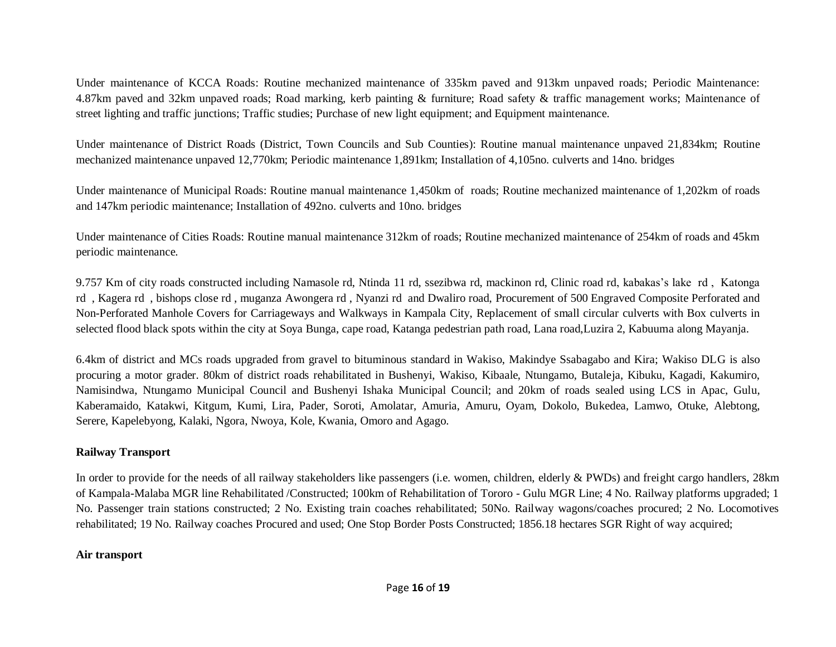Under maintenance of KCCA Roads: Routine mechanized maintenance of 335km paved and 913km unpaved roads; Periodic Maintenance: 4.87km paved and 32km unpaved roads; Road marking, kerb painting & furniture; Road safety & traffic management works; Maintenance of street lighting and traffic junctions; Traffic studies; Purchase of new light equipment; and Equipment maintenance.

Under maintenance of District Roads (District, Town Councils and Sub Counties): Routine manual maintenance unpaved 21,834km; Routine mechanized maintenance unpaved 12,770km; Periodic maintenance 1,891km; Installation of 4,105no. culverts and 14no. bridges

Under maintenance of Municipal Roads: Routine manual maintenance 1,450km of roads; Routine mechanized maintenance of 1,202km of roads and 147km periodic maintenance; Installation of 492no. culverts and 10no. bridges

Under maintenance of Cities Roads: Routine manual maintenance 312km of roads; Routine mechanized maintenance of 254km of roads and 45km periodic maintenance.

9.757 Km of city roads constructed including Namasole rd, Ntinda 11 rd, ssezibwa rd, mackinon rd, Clinic road rd, kabakas's lake rd , Katonga rd , Kagera rd , bishops close rd , muganza Awongera rd , Nyanzi rd and Dwaliro road, Procurement of 500 Engraved Composite Perforated and Non-Perforated Manhole Covers for Carriageways and Walkways in Kampala City, Replacement of small circular culverts with Box culverts in selected flood black spots within the city at Soya Bunga, cape road, Katanga pedestrian path road, Lana road,Luzira 2, Kabuuma along Mayanja.

6.4km of district and MCs roads upgraded from gravel to bituminous standard in Wakiso, Makindye Ssabagabo and Kira; Wakiso DLG is also procuring a motor grader. 80km of district roads rehabilitated in Bushenyi, Wakiso, Kibaale, Ntungamo, Butaleja, Kibuku, Kagadi, Kakumiro, Namisindwa, Ntungamo Municipal Council and Bushenyi Ishaka Municipal Council; and 20km of roads sealed using LCS in Apac, Gulu, Kaberamaido, Katakwi, Kitgum, Kumi, Lira, Pader, Soroti, Amolatar, Amuria, Amuru, Oyam, Dokolo, Bukedea, Lamwo, Otuke, Alebtong, Serere, Kapelebyong, Kalaki, Ngora, Nwoya, Kole, Kwania, Omoro and Agago.

#### **Railway Transport**

In order to provide for the needs of all railway stakeholders like passengers (i.e. women, children, elderly & PWDs) and freight cargo handlers, 28km of Kampala-Malaba MGR line Rehabilitated /Constructed; 100km of Rehabilitation of Tororo - Gulu MGR Line; 4 No. Railway platforms upgraded; 1 No. Passenger train stations constructed; 2 No. Existing train coaches rehabilitated; 50No. Railway wagons/coaches procured; 2 No. Locomotives rehabilitated; 19 No. Railway coaches Procured and used; One Stop Border Posts Constructed; 1856.18 hectares SGR Right of way acquired;

#### **Air transport**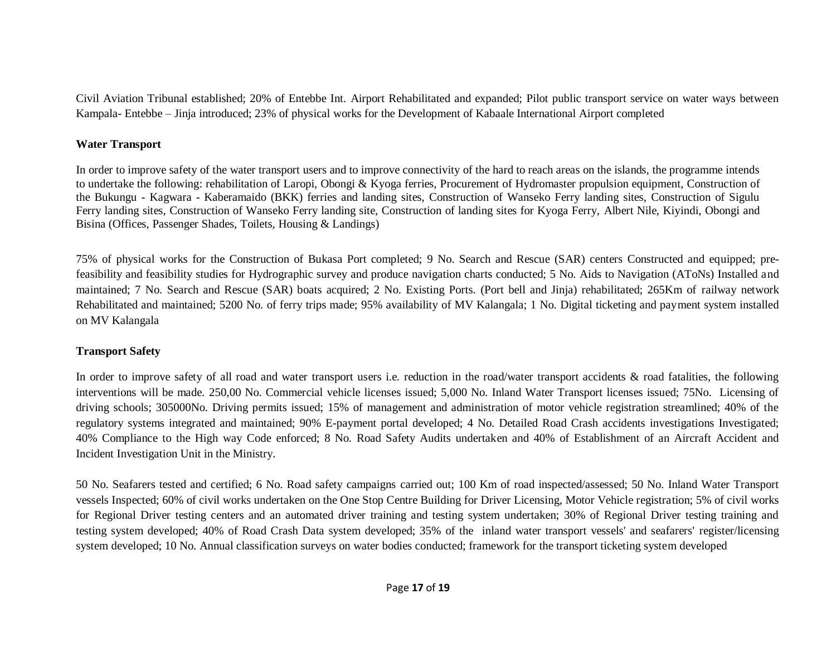Civil Aviation Tribunal established; 20% of Entebbe Int. Airport Rehabilitated and expanded; Pilot public transport service on water ways between Kampala- Entebbe – Jinja introduced; 23% of physical works for the Development of Kabaale International Airport completed

#### **Water Transport**

In order to improve safety of the water transport users and to improve connectivity of the hard to reach areas on the islands, the programme intends to undertake the following: rehabilitation of Laropi, Obongi & Kyoga ferries, Procurement of Hydromaster propulsion equipment, Construction of the Bukungu - Kagwara - Kaberamaido (BKK) ferries and landing sites, Construction of Wanseko Ferry landing sites, Construction of Sigulu Ferry landing sites, Construction of Wanseko Ferry landing site, Construction of landing sites for Kyoga Ferry, Albert Nile, Kiyindi, Obongi and Bisina (Offices, Passenger Shades, Toilets, Housing & Landings)

75% of physical works for the Construction of Bukasa Port completed; 9 No. Search and Rescue (SAR) centers Constructed and equipped; prefeasibility and feasibility studies for Hydrographic survey and produce navigation charts conducted; 5 No. Aids to Navigation (AToNs) Installed and maintained; 7 No. Search and Rescue (SAR) boats acquired; 2 No. Existing Ports. (Port bell and Jinja) rehabilitated; 265Km of railway network Rehabilitated and maintained; 5200 No. of ferry trips made; 95% availability of MV Kalangala; 1 No. Digital ticketing and payment system installed on MV Kalangala

# **Transport Safety**

In order to improve safety of all road and water transport users i.e. reduction in the road/water transport accidents  $\&$  road fatalities, the following interventions will be made. 250,00 No. Commercial vehicle licenses issued; 5,000 No. Inland Water Transport licenses issued; 75No. Licensing of driving schools; 305000No. Driving permits issued; 15% of management and administration of motor vehicle registration streamlined; 40% of the regulatory systems integrated and maintained; 90% E-payment portal developed; 4 No. Detailed Road Crash accidents investigations Investigated; 40% Compliance to the High way Code enforced; 8 No. Road Safety Audits undertaken and 40% of Establishment of an Aircraft Accident and Incident Investigation Unit in the Ministry.

50 No. Seafarers tested and certified; 6 No. Road safety campaigns carried out; 100 Km of road inspected/assessed; 50 No. Inland Water Transport vessels Inspected; 60% of civil works undertaken on the One Stop Centre Building for Driver Licensing, Motor Vehicle registration; 5% of civil works for Regional Driver testing centers and an automated driver training and testing system undertaken; 30% of Regional Driver testing training and testing system developed; 40% of Road Crash Data system developed; 35% of the inland water transport vessels' and seafarers' register/licensing system developed; 10 No. Annual classification surveys on water bodies conducted; framework for the transport ticketing system developed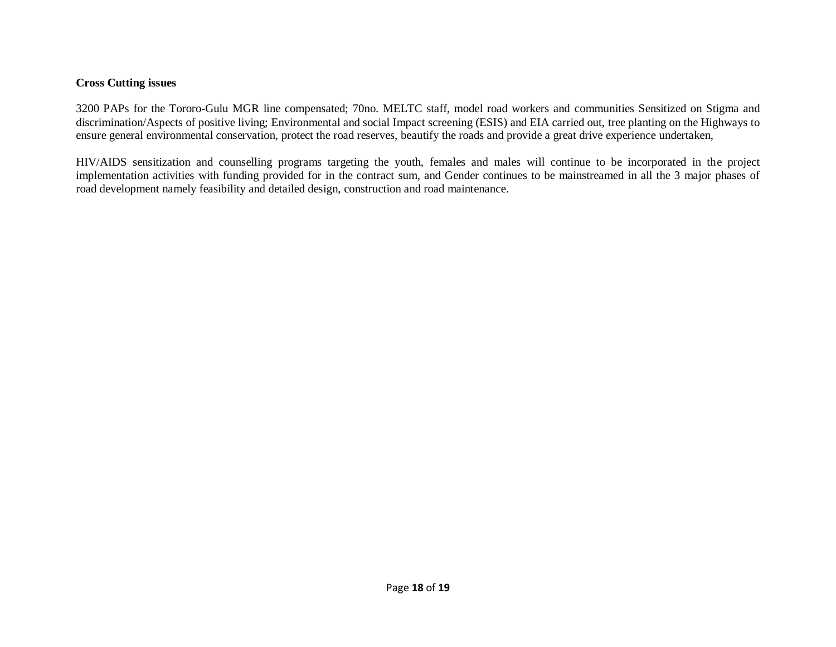#### **Cross Cutting issues**

3200 PAPs for the Tororo-Gulu MGR line compensated; 70no. MELTC staff, model road workers and communities Sensitized on Stigma and discrimination/Aspects of positive living; Environmental and social Impact screening (ESIS) and EIA carried out, tree planting on the Highways to ensure general environmental conservation, protect the road reserves, beautify the roads and provide a great drive experience undertaken,

HIV/AIDS sensitization and counselling programs targeting the youth, females and males will continue to be incorporated in the project implementation activities with funding provided for in the contract sum, and Gender continues to be mainstreamed in all the 3 major phases of road development namely feasibility and detailed design, construction and road maintenance.